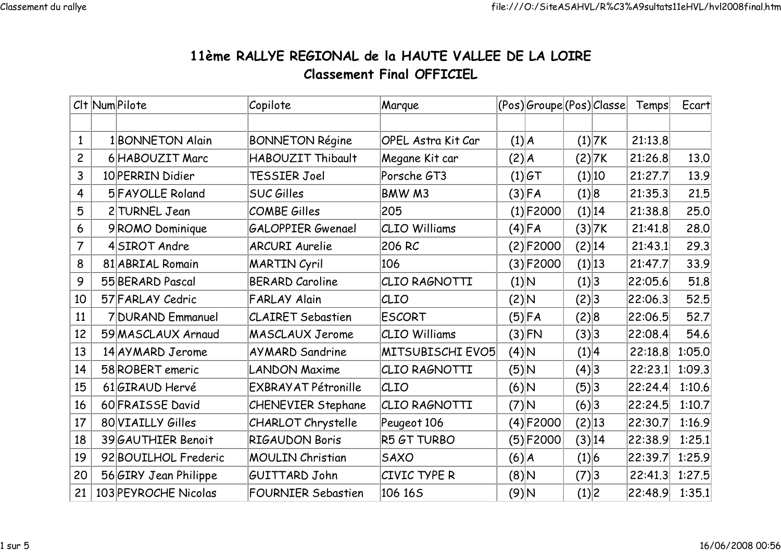## 11ème RALLYE REGIONAL de la HAUTE VALLEE DE LA LOIREClassement Final OFFICIEL

|                         | Clt Num Pilote        | Copilote                   | Marque                    |           | (Pos) Groupe (Pos) Classe |        |        | Temps   | Ecart  |
|-------------------------|-----------------------|----------------------------|---------------------------|-----------|---------------------------|--------|--------|---------|--------|
|                         |                       |                            |                           |           |                           |        |        |         |        |
| $\mathbf{1}$            | 1 BONNETON Alain      | <b>BONNETON Régine</b>     | <b>OPEL Astra Kit Car</b> | (1) A     |                           |        | (1) 7K | 21:13.8 |        |
| $\overline{c}$          | 6 HABOUZIT Marc       | HABOUZIT Thibault          | Megane Kit car            | $(2)$ $A$ |                           |        | (2) 7K | 21:26.8 | 13.0   |
| $\overline{3}$          | 10 PERRIN Didier      | TESSIER Joel               | Porsche GT3               |           | (1) G                     |        | (1) 10 | 21:27.7 | 13.9   |
| $\overline{\mathbf{4}}$ | 5 FAYOLLE Roland      | <b>SUC Gilles</b>          | BMW M3                    |           | $(3)$ FA                  | (1) 8  |        | 21:35.3 | 21.5   |
| 5                       | 2 TURNEL Jean         | <b>COMBE Gilles</b>        | 205                       |           | $(1)$ F2000               |        | (1) 14 | 21:38.8 | 25.0   |
| 6                       | 9ROMO Dominique       | <b>GALOPPIER Gwenael</b>   | <b>CLIO Williams</b>      |           | $(4)$ FA                  |        | (3) 7K | 21:41.8 | 28.0   |
| $\overline{7}$          | 4SIROT Andre          | <b>ARCURI Aurelie</b>      | 206 RC                    |           | (2) F2000                 | (2) 14 |        | 21:43.1 | 29.3   |
| 8                       | 81 ABRIAL Romain      | <b>MARTIN Cyril</b>        | 106                       |           | $(3) $ F2000              | (1) 13 |        | 21:47.7 | 33.9   |
| 9                       | 55 BERARD Pascal      | <b>BERARD Caroline</b>     | CLIO RAGNOTTI             | (1) N     |                           | (1) 3  |        | 22:05.6 | 51.8   |
| 10                      | 57 FARLAY Cedric      | <b>FARLAY Alain</b>        | CLIO                      | A (2)     |                           | (2) 3  |        | 22:06.3 | 52.5   |
| 11                      | 7 DURAND Emmanuel     | <b>CLAIRET Sebastien</b>   | <b>ESCORT</b>             |           | $(5)$ FA                  | (2) 8  |        | 22:06.5 | 52.7   |
| 12                      | 59 MASCLAUX Arnaud    | <b>MASCLAUX Jerome</b>     | <b>CLIO Williams</b>      |           | $(3)$ FN                  | (3) 3  |        | 22:08.4 | 54.6   |
| 13                      | 14 AYMARD Jerome      | <b>AYMARD Sandrine</b>     | MITSUBISCHI EVO5          | (4) N     |                           | (1) 4  |        | 22:18.8 | 1:05.0 |
| 14                      | 58 ROBERT emeric      | <b>LANDON Maxime</b>       | CLIO RAGNOTTI             | $(5)$ N   |                           | (4) 3  |        | 22:23.1 | 1:09.3 |
| 15                      | 61GIRAUD Hervé        | <b>EXBRAYAT Pétronille</b> | CLIO                      | $(6)$ N   |                           | (5)3   |        | 22:24.4 | 1:10.6 |
| 16                      | 60 FRAISSE David      | <b>CHENEVIER Stephane</b>  | CLIO RAGNOTTI             | $(7)$ N   |                           | (6) 3  |        | 22:24.5 | 1:10.7 |
| 17                      | 80 VIAILLY Gilles     | CHARLOT Chrystelle         | Peugeot 106               |           | $(4)$ F2000               | (2) 13 |        | 22:30.7 | 1:16.9 |
| 18                      | 39 GAUTHIER Benoit    | <b>RIGAUDON Boris</b>      | R5 GT TURBO               |           | $(5) $ F2000              | (3) 14 |        | 22:38.9 | 1:25.1 |
| 19                      | 92 BOUILHOL Frederic  | <b>MOULIN Christian</b>    | <b>SAXO</b>               | (6) A     |                           | (1) 6  |        | 22:39.7 | 1:25.9 |
| 20                      | 56 GIRY Jean Philippe | GUITTARD John              | CIVIC TYPE R              | A (8)     |                           | (7) 3  |        | 22:41.3 | 1:27.5 |
| 21                      | 103 PEYROCHE Nicolas  | <b>FOURNIER Sebastien</b>  | 106 165                   | (9)N      |                           | (1) 2  |        | 22:48.9 | 1:35.1 |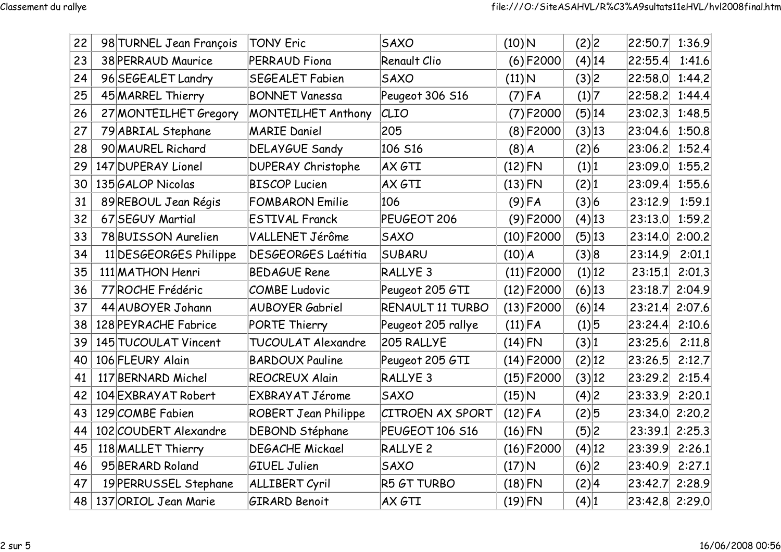| 22 | 98 TURNEL Jean François | <b>TONY Eric</b>            | <b>SAXO</b>             | $(10)$ N      |              | (2) 2     | 22:50.7        | 1:36.9 |
|----|-------------------------|-----------------------------|-------------------------|---------------|--------------|-----------|----------------|--------|
| 23 | 38 PERRAUD Maurice      | <b>PERRAUD Fiona</b>        | Renault Clio            |               | $(6)$ F2000  | $(4)$  14 | 22:55.4        | 1:41.6 |
| 24 | 96 SEGEALET Landry      | <b>SEGEALET Fabien</b>      | <b>SAXO</b>             | $(11)\vert N$ |              | (3) 2     | 22:58.0        | 1:44.2 |
| 25 | 45 MARREL Thierry       | <b>BONNET Vanessa</b>       | Peugeot 306 S16         |               | $(7)$ FA     | (1) 7     | 22:58.2        | 1:44.4 |
| 26 | 27 MONTEILHET Gregory   | <b>MONTEILHET Anthony</b>   | CLIO                    |               | $(7)$ F2000  | (5) 14    | 23:02.3        | 1:48.5 |
| 27 | 79 ABRIAL Stephane      | <b>MARIE Daniel</b>         | 205                     |               | $(8)$ F2000  | (3) 13    | 23:04.6        | 1:50.8 |
| 28 | 90 MAUREL Richard       | <b>DELAYGUE Sandy</b>       | 106 S16                 | $(8)$ $A$     |              | (2) 6     | 23:06.2        | 1:52.4 |
| 29 | 147 DUPERAY Lionel      | <b>DUPERAY Christophe</b>   | AX GTI                  | $(12)$ FN     |              | (1) 1     | 23:09.0        | 1:55.2 |
| 30 | 135 GALOP Nicolas       | <b>BISCOP Lucien</b>        | AX GTI                  | $(13)$ FN     |              | (2) 1     | 23:09.4        | 1:55.6 |
| 31 | 89 REBOUL Jean Régis    | <b>FOMBARON Emilie</b>      | 106                     |               | $(9)$ FA     | (3) 6     | 23:12.9        | 1:59.1 |
| 32 | 67 SEGUY Martial        | <b>ESTIVAL Franck</b>       | PEUGEOT 206             |               | $(9)$ F2000  | $(4)$ 13  | 23:13.0        | 1:59.2 |
| 33 | 78 BUISSON Aurelien     | VALLENET Jérôme             | <b>SAXO</b>             |               | $(10)$ F2000 | (5) 13    | 23:14.0 2:00.2 |        |
| 34 | 11 DESGEORGES Philippe  | <b>DESGEORGES Laétitia</b>  | <b>SUBARU</b>           | $(10)$ $A$    |              | (3) 8     | 23:14.9        | 2:01.1 |
| 35 | 111 MATHON Henri        | <b>BEDAGUE Rene</b>         | RALLYE <sub>3</sub>     |               | $(11)$ F2000 | (1) 12    | 23:15.1        | 2:01.3 |
| 36 | 77 ROCHE Frédéric       | <b>COMBE Ludovic</b>        | Peugeot 205 GTI         |               | $(12)$ F2000 | $(6)$  13 | 23:18.7        | 2:04.9 |
| 37 | 44 AUBOYER Johann       | <b>AUBOYER Gabriel</b>      | RENAULT 11 TURBO        |               | $(13)$ F2000 | (6) 14    | 23:21.4 2:07.6 |        |
| 38 | 128 PEYRACHE Fabrice    | PORTE Thierry               | Peugeot 205 rallye      | $(11)$ FA     |              | (1) 5     | 23:24.4        | 2:10.6 |
| 39 | 145 TUCOULAT Vincent    | TUCOULAT Alexandre          | 205 RALLYE              | $(14)$ FN     |              | (3) 1     | 23:25.6        | 2:11.8 |
| 40 | 106 FLEURY Alain        | <b>BARDOUX Pauline</b>      | Peugeot 205 GTI         |               | $(14)$ F2000 | (2) 12    | 23:26.5        | 2:12.7 |
| 41 | 117 BERNARD Michel      | <b>REOCREUX Alain</b>       | <b>RALLYE 3</b>         |               | $(15)$ F2000 | (3) 12    | 23:29.2        | 2:15.4 |
| 42 | 104 EXBRAY AT Robert    | EXBRAYAT Jérome             | <b>SAXO</b>             | $(15)$ N      |              | (4) 2     | 23:33.9        | 2:20.1 |
| 43 | 129 COMBE Fabien        | <b>ROBERT Jean Philippe</b> | <b>CITROEN AX SPORT</b> | $(12)$ FA     |              | (2)5      | 23:34.0 2:20.2 |        |
| 44 | 102 COUDERT Alexandre   | DEBOND Stéphane             | PEUGEOT 106 S16         | $(16)$ FN     |              | (5)2      | 23:39.1 2:25.3 |        |
| 45 | 118 MALLET Thierry      | <b>DEGACHE Mickael</b>      | <b>RALLYE 2</b>         |               | $(16)$ F2000 | $(4)$ 12  | 23:39.9 2:26.1 |        |
| 46 | 95 BERARD Roland        | <b>GIUEL Julien</b>         | <b>SAXO</b>             | $(17)$ N      |              | (6) 2     | 23:40.9        | 2:27.1 |
| 47 | 19 PERRUSSEL Stephane   | <b>ALLIBERT Cyril</b>       | R5 GT TURBO             | $(18)$ FN     |              | (2) 4     | 23:42.7 2:28.9 |        |
| 48 | 137 ORIOL Jean Marie    | <b>GIRARD Benoit</b>        | AX GTI                  | $(19)$ FN     |              | (4) 1     | 23:42.8 2:29.0 |        |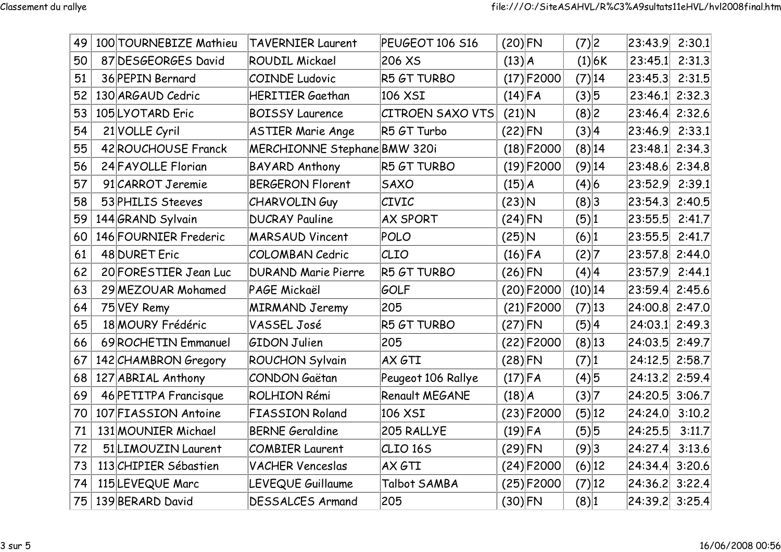| 49 | 100 TOURNEBIZE Mathieu | <b>TAVERNIER Laurent</b>     | PEUGEOT 106 S16         | $(20)$ FN  |              | (7) 2     |          | 23:43.9 2:30.1     |        |
|----|------------------------|------------------------------|-------------------------|------------|--------------|-----------|----------|--------------------|--------|
| 50 | 87 DESGEORGES David    | <b>ROUDIL Mickael</b>        | 206 XS                  | (13) A     |              |           | (1) 6K   | 23:45.1            | 2:31.3 |
| 51 | 36 PEPIN Bernard       | <b>COINDE Ludovic</b>        | R5 GT TURBO             |            | $(17)$ F2000 |           | (7) 14   | $ 23:45.3 $ 2:31.5 |        |
| 52 | 130 ARGAUD Cedric      | <b>HERITIER Gaethan</b>      | 106 XSI                 | $(14)$ FA  |              | (3) 5     |          | $23:46.1$ 2:32.3   |        |
| 53 | 105 LYOTARD Eric       | <b>BOISSY Laurence</b>       | <b>CITROEN SAXO VTS</b> | $(21)$ N   |              | (8) 2     |          | 23:46.4 2:32.6     |        |
| 54 | 21 VOLLE Cyril         | <b>ASTIER Marie Ange</b>     | R5 GT Turbo             | $(22)$ FN  |              | (3) 4     |          | 23:46.9 2:33.1     |        |
| 55 | 42 ROUCHOUSE Franck    | MERCHIONNE Stephane BMW 320i |                         |            | $(18)$ F2000 |           | (8) 14   | 23:48.1 2:34.3     |        |
| 56 | 24 FAYOLLE Florian     | <b>BAYARD Anthony</b>        | R5 GT TURBO             |            | $(19)$ F2000 |           | $(9)$ 14 | 23:48.6 2:34.8     |        |
| 57 | 91 CARROT Jeremie      | <b>BERGERON Florent</b>      | <b>SAXO</b>             | $(15)$ $A$ |              | (4) 6     |          | 23:52.9 2:39.1     |        |
| 58 | 53 PHILIS Steeves      | <b>CHARVOLINGuy</b>          | <b>CIVIC</b>            | $(23)$ N   |              | (8) 3     |          | 23:54.3 2:40.5     |        |
| 59 | 144 GRAND Sylvain      | <b>DUCRAY Pauline</b>        | <b>AX SPORT</b>         | $(24)$ FN  |              | (5) 1     |          | $ 23:55.5 $ 2:41.7 |        |
| 60 | 146 FOURNIER Frederic  | <b>MARSAUD Vincent</b>       | POLO                    | $(25)$ N   |              | (6) 1     |          | 23:55.5            | 2:41.7 |
| 61 | 48 DURET Eric          | <b>COLOMBAN Cedric</b>       | CLIO                    | $(16)$ FA  |              | (2) 7     |          | 23:57.8 2:44.0     |        |
| 62 | 20 FORESTIER Jean Luc  | <b>DURAND Marie Pierre</b>   | R5 GT TURBO             | $(26)$ FN  |              | (4) 4     |          | 23:57.9 2:44.1     |        |
| 63 | 29 MEZOUAR Mohamed     | PAGE Mickaël                 | GOLF                    |            | $(20)$ F2000 | $(10)$ 14 |          | 23:59.4 2:45.6     |        |
| 64 | 75 VEY Remy            | <b>MIRMAND Jeremy</b>        | 205                     |            | $(21)$ F2000 | (7) 13    |          | 24:00.8 2:47.0     |        |
| 65 | 18 MOURY Frédéric      | VASSEL José                  | R5 GT TURBO             | $(27)$ FN  |              | (5) 4     |          | 24:03.1 2:49.3     |        |
| 66 | 69 ROCHETIN Emmanuel   | <b>GIDON Julien</b>          | 205                     |            | (22) F2000   | (8) 13    |          | 24:03.5 2:49.7     |        |
| 67 | 142 CHAMBRON Gregory   | <b>ROUCHON Sylvain</b>       | AX GTT                  | $(28)$ FN  |              | (7) 1     |          | 24:12.5 2:58.7     |        |
| 68 | 127 ABRIAL Anthony     | <b>CONDON Gaëtan</b>         | Peugeot 106 Rallye      | $(17)$ FA  |              | (4)5      |          | 24:13.2 2:59.4     |        |
| 69 | 46 PETITPA Francisque  | <b>ROLHION Rémi</b>          | Renault MEGANE          | $(18)$ $A$ |              | (3) 7     |          | 24:20.5 3:06.7     |        |
| 70 | 107 FIASSION Antoine   | <b>FIASSION Roland</b>       | 106 XSI                 |            | $(23)$ F2000 | (5) 12    |          | 24:24.0            | 3:10.2 |
| 71 | 131 MOUNIER Michael    | <b>BERNE Geraldine</b>       | 205 RALLYE              | $(19)$ FA  |              | (5) 5     |          | 24:25.5            | 3:11.7 |
| 72 | 51 LIMOUZIN Laurent    | <b>COMBIER Laurent</b>       | CLIO <sub>165</sub>     | $(29)$ FN  |              | (9)3      |          | 24:27.4 3:13.6     |        |
| 73 | 113 CHIPIER Sébastien  | <b>VACHER Venceslas</b>      | AX GTI                  |            | $(24)$ F2000 | $(6)$ 12  |          | 24:34.4 3:20.6     |        |
| 74 | 115LEVEQUE Marc        | LEVEQUE Guillaume            | Talbot SAMBA            |            | $(25)$ F2000 |           | (7) 12   | 24:36.2 3:22.4     |        |
| 75 | 139 BERARD David       | <b>DESSALCES Armand</b>      | 205                     | $(30)$ FN  |              | (8) 1     |          | 24:39.2 3:25.4     |        |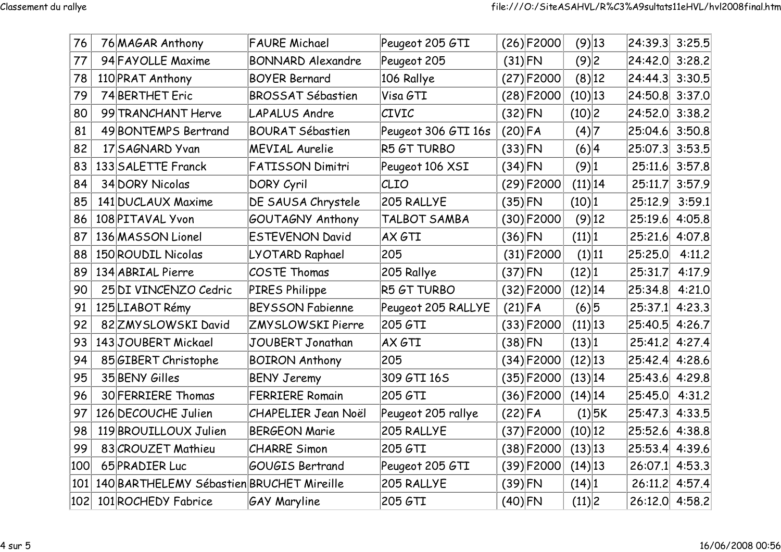| 76  | 76 MAGAR Anthony                          | <b>FAURE Michael</b>       | Peugeot 205 GTI     |           | $(26)$ F2000  | $(9)$ 13  |          | 24:39.3 3:25.5     |        |
|-----|-------------------------------------------|----------------------------|---------------------|-----------|---------------|-----------|----------|--------------------|--------|
| 77  | 94 FAYOLLE Maxime                         | <b>BONNARD Alexandre</b>   | Peugeot 205         | $(31)$ FN |               | (9)2      |          | 24:42.0 3:28.2     |        |
| 78  | 110 PRAT Anthony                          | <b>BOYER Bernard</b>       | 106 Rallye          |           | $(27)$ F2000  | $(8)$ 12  |          | 24:44.3 3:30.5     |        |
| 79  | 74 BERTHET Eric                           | <b>BROSSAT Sébastien</b>   | Visa GTI            |           | $(28)$ F2000  | (10) 13   |          | 24:50.8 3:37.0     |        |
| 80  | 99 TRANCHANT Herve                        | <b>LAPALUS Andre</b>       | CIVIC               | $(32)$ FN |               | (10) 2    |          | 24:52.0 3:38.2     |        |
| 81  | 49 BONTEMPS Bertrand                      | <b>BOURAT Sébastien</b>    | Peugeot 306 GTI 16s | $(20)$ FA |               | (4) 7     |          | 25:04.6 3:50.8     |        |
| 82  | 17 SAGNARD Yvan                           | <b>MEVIAL Aurelie</b>      | <b>R5 GT TURBO</b>  | $(33)$ FN |               | (6) 4     |          | 25:07.3 3:53.5     |        |
| 83  | 133 SALETTE Franck                        | <b>FATISSON Dimitri</b>    | Peugeot 106 XSI     | $(34)$ FN |               | (9) 1     |          | 25:11.6 3:57.8     |        |
| 84  | 34 DORY Nicolas                           | <b>DORY Cyril</b>          | CLIO                |           | $(29)$ F2000  | (11) 14   |          | 25:11.7 3:57.9     |        |
| 85  | 141 DUCLAUX Maxime                        | DE SAUSA Chrystele         | 205 RALLYE          | $(35)$ FN |               | (10) 1    |          | 25:12.9            | 3:59.1 |
| 86  | 108 PITAVAL Yvon                          | GOUTAGNY Anthony           | TALBOT SAMBA        |           | $(30)$ F2000  | $(9)$ 12  |          | 25:19.6 4:05.8     |        |
| 87  | 136 MASSON Lionel                         | <b>ESTEVENON David</b>     | AX GTI              | $(36)$ FN |               | (11) 1    |          | 25:21.6 4:07.8     |        |
| 88  | 150 ROUDIL Nicolas                        | LYOTARD Raphael            | 205                 |           | $(31)$ F2000  | (1) 11    |          | 25:25.0            | 4:11.2 |
| 89  | 134 ABRIAL Pierre                         | <b>COSTE Thomas</b>        | 205 Rallye          | $(37)$ FN |               | (12) 1    |          | 25:31.7            | 4:17.9 |
| 90  | 25 DI VINCENZO Cedric                     | PIRES Philippe             | R5 GT TURBO         |           | $(32)$ F2000  | (12) 14   |          | 25:34.8            | 4:21.0 |
| 91  | 125 LIABOT Rémy                           | <b>BEYSSON Fabienne</b>    | Peugeot 205 RALLYE  | $(21)$ FA |               | (6) 5     |          | $25:37.1$ 4:23.3   |        |
| 92  | 82 ZMY SLOWSKI David                      | ZMYSLOWSKI Pierre          | 205 GTI             |           | $(33) $ F2000 | (11) 13   |          | $ 25:40.5 $ 4:26.7 |        |
| 93  | 143JOUBERT Mickael                        | JOUBERT Jonathan           | AX GTI              | $(38)$ FN |               | (13) 1    |          | 25:41.2            | 4:27.4 |
| 94  | 85 GIBERT Christophe                      | <b>BOIRON Anthony</b>      | 205                 |           | $(34)$ F2000  | $(12)$ 13 |          | $ 25:42.4 $ 4:28.6 |        |
| 95  | 35 BENY Gilles                            | <b>BENY Jeremy</b>         | 309 GTI 16S         |           | $(35)$ F2000  | (13) 14   |          | $ 25:43.6 $ 4:29.8 |        |
| 96  | 30 FERRIERE Thomas                        | <b>FERRIERE Romain</b>     | 205 GTI             |           | $(36)$ F2000  | $(14)$ 14 |          | 25:45.0            | 4:31.2 |
| 97  | 126 DECOUCHE Julien                       | <b>CHAPELIER Jean Noël</b> | Peugeot 205 rallye  | $(22)$ FA |               |           | $(1)$ 5K | $ 25:47.3 $ 4:33.5 |        |
| 98  | 119 BROUILLOUX Julien                     | <b>BERGEON Marie</b>       | 205 RALLYE          |           | $(37)$ F2000  | $(10)$ 12 |          | 25:52.6            | 4:38.8 |
| 99  | 83 CROUZET Mathieu                        | <b>CHARRE Simon</b>        | 205 GTI             |           | $(38)$ F2000  | (13) 13   |          | $ 25:53.4 $ 4:39.6 |        |
| 100 | 65 PRADIER Luc                            | GOUGIS Bertrand            | Peugeot 205 GTI     |           | $(39)$ F2000  | $(14)$ 13 |          | $26:07.1$ 4:53.3   |        |
| 101 | 140 BARTHELEMY Sébastien BRUCHET Mireille |                            | 205 RALLYE          | $(39)$ FN |               | (14) 1    |          | 26:11.2 4:57.4     |        |
| 102 | 101 ROCHEDY Fabrice                       | <b>GAY Maryline</b>        | 205 GTI             | $(40)$ FN |               | (11) 2    |          | 26:12.0 4:58.2     |        |